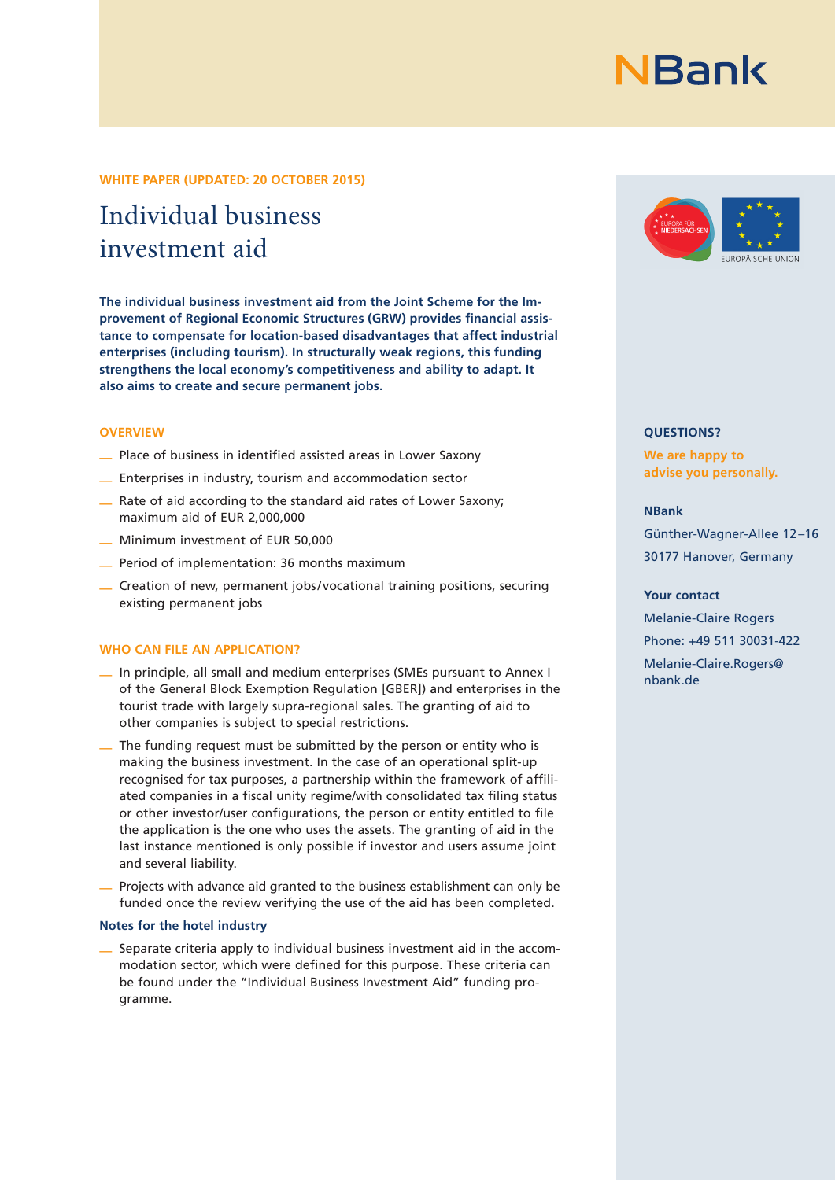#### **WHITE PAPER (UPDATED: 20 OCTOBER 2015)**

# Individual business investment aid

**The individual business investment aid from the Joint Scheme for the Im**provement of Regional Economic Structures (GRW) provides financial assis**tance to compensate for location-based disadvantages that affect industrial enterprises (including tourism). In structurally weak regions, this funding strengthens the local economy's competitiveness and ability to adapt. It also aims to create and secure permanent jobs.**

#### **OVERVIEW**

- $\equiv$  Place of business in identified assisted areas in Lower Saxony
- Enterprises in industry, tourism and accommodation sector
- Rate of aid according to the standard aid rates of Lower Saxony; maximum aid of EUR 2,000,000
- Minimum investment of EUR 50,000
- Period of implementation: 36 months maximum
- Creation of new, permanent jobs / vocational training positions, securing existing permanent jobs

#### **WHO CAN FILE AN APPLICATION?**

- In principle, all small and medium enterprises (SMEs pursuant to Annex I of the General Block Exemption Regulation [GBER]) and enterprises in the tourist trade with largely supra-regional sales. The granting of aid to other companies is subject to special restrictions.
- The funding request must be submitted by the person or entity who is making the business investment. In the case of an operational split-up recognised for tax purposes, a partnership within the framework of affiliated companies in a fiscal unity regime/with consolidated tax filing status or other investor/user configurations, the person or entity entitled to file the application is the one who uses the assets. The granting of aid in the last instance mentioned is only possible if investor and users assume joint and several liability.
- Projects with advance aid granted to the business establishment can only be funded once the review verifying the use of the aid has been completed.

#### **Notes for the hotel industry**

— Separate criteria apply to individual business investment aid in the accommodation sector, which were defined for this purpose. These criteria can be found under the "Individual Business Investment Aid" funding programme.



### **QUESTIONS?**

**We are happy to advise you personally.**

#### **NBank**

Günther-Wagner-Allee 12 –16 30177 Hanover, Germany

#### **Your contact**

Melanie-Claire Rogers Phone: +49 511 30031-422 Melanie-Claire.Rogers@ nbank.de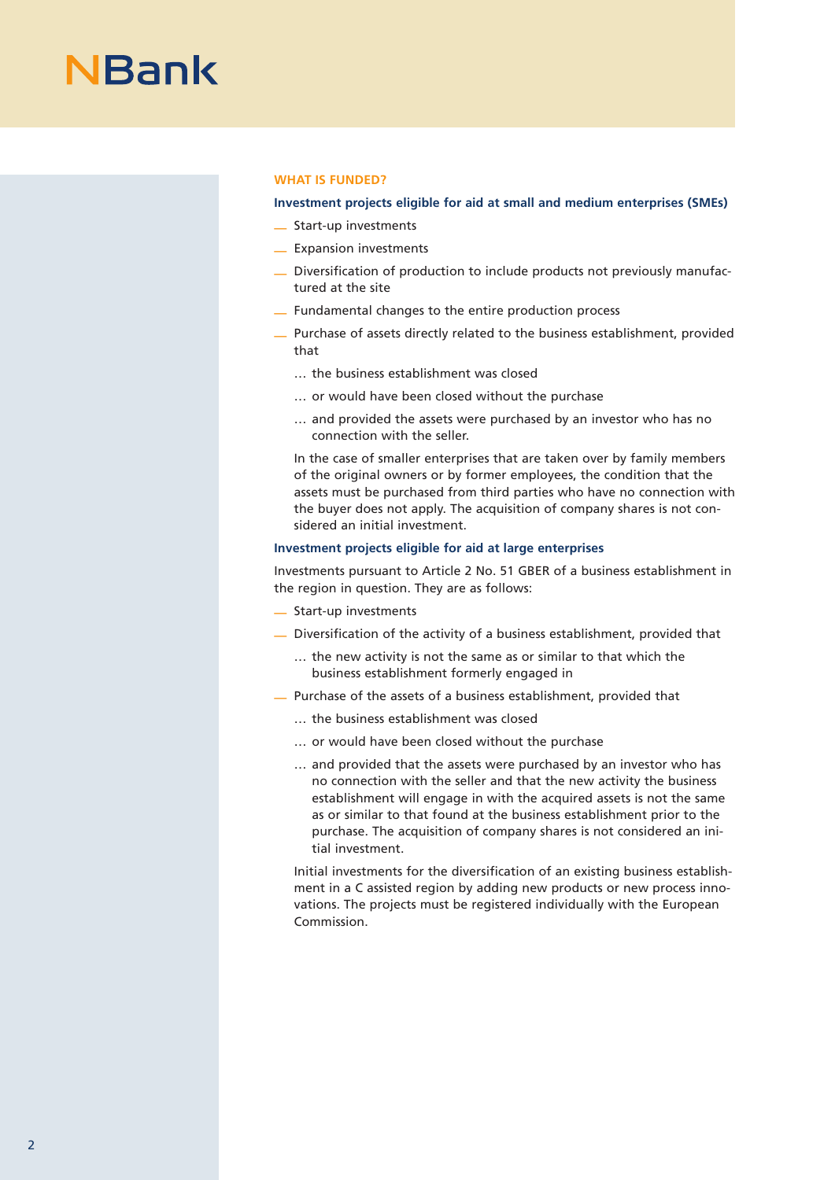#### **WHAT IS FUNDED?**

### **Investment projects eligible for aid at small and medium enterprises (SMEs)**

- Start-up investments
- Expansion investments
- Diversification of production to include products not previously manufactured at the site
- Fundamental changes to the entire production process
- Purchase of assets directly related to the business establishment, provided that
	- … the business establishment was closed
	- … or would have been closed without the purchase
	- … and provided the assets were purchased by an investor who has no connection with the seller.

In the case of smaller enterprises that are taken over by family members of the original owners or by former employees, the condition that the assets must be purchased from third parties who have no connection with the buyer does not apply. The acquisition of company shares is not considered an initial investment.

# **Investment projects eligible for aid at large enterprises**

Investments pursuant to Article 2 No. 51 GBER of a business establishment in the region in question. They are as follows:

- Start-up investments
- Diversification of the activity of a business establishment, provided that
	- … the new activity is not the same as or similar to that which the business establishment formerly engaged in
- Purchase of the assets of a business establishment, provided that
	- … the business establishment was closed
	- … or would have been closed without the purchase
	- … and provided that the assets were purchased by an investor who has no connection with the seller and that the new activity the business establishment will engage in with the acquired assets is not the same as or similar to that found at the business establishment prior to the purchase. The acquisition of company shares is not considered an initial investment.

Initial investments for the diversification of an existing business establishment in a C assisted region by adding new products or new process innovations. The projects must be registered individually with the European Commission.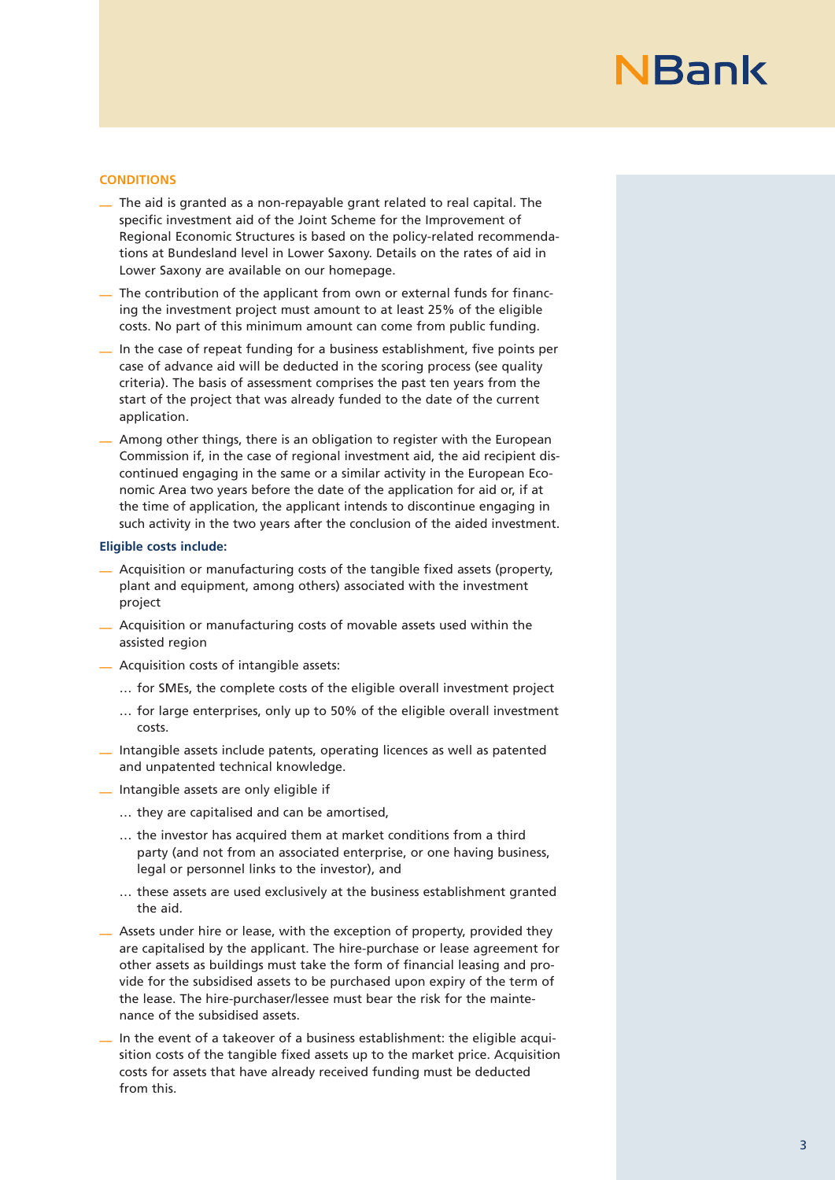### **CONDITIONS**

- The aid is granted as a non-repayable grant related to real capital. The specific investment aid of the Joint Scheme for the Improvement of Regional Economic Structures is based on the policy-related recommendations at Bundesland level in Lower Saxony. Details on the rates of aid in Lower Saxony are available on our homepage.
- The contribution of the applicant from own or external funds for financing the investment project must amount to at least 25% of the eligible costs. No part of this minimum amount can come from public funding.
- In the case of repeat funding for a business establishment, five points per case of advance aid will be deducted in the scoring process (see quality criteria). The basis of assessment comprises the past ten years from the start of the project that was already funded to the date of the current application.
- Among other things, there is an obligation to register with the European Commission if, in the case of regional investment aid, the aid recipient discontinued engaging in the same or a similar activity in the European Economic Area two years before the date of the application for aid or, if at the time of application, the applicant intends to discontinue engaging in such activity in the two years after the conclusion of the aided investment.

#### **Eligible costs include:**

- Acquisition or manufacturing costs of the tangible fixed assets (property, plant and equipment, among others) associated with the investment project
- Acquisition or manufacturing costs of movable assets used within the assisted region
- Acquisition costs of intangible assets:
	- … for SMEs, the complete costs of the eligible overall investment project
	- … for large enterprises, only up to 50% of the eligible overall investment costs.
- Intangible assets include patents, operating licences as well as patented and unpatented technical knowledge.
- Intangible assets are only eligible if
	- … they are capitalised and can be amortised,
	- … the investor has acquired them at market conditions from a third party (and not from an associated enterprise, or one having business, legal or personnel links to the investor), and
	- … these assets are used exclusively at the business establishment granted the aid.
- Assets under hire or lease, with the exception of property, provided they are capitalised by the applicant. The hire-purchase or lease agreement for other assets as buildings must take the form of financial leasing and provide for the subsidised assets to be purchased upon expiry of the term of the lease. The hire-purchaser/lessee must bear the risk for the maintenance of the subsidised assets.
- In the event of a takeover of a business establishment: the eligible acquisition costs of the tangible fixed assets up to the market price. Acquisition costs for assets that have already received funding must be deducted from this.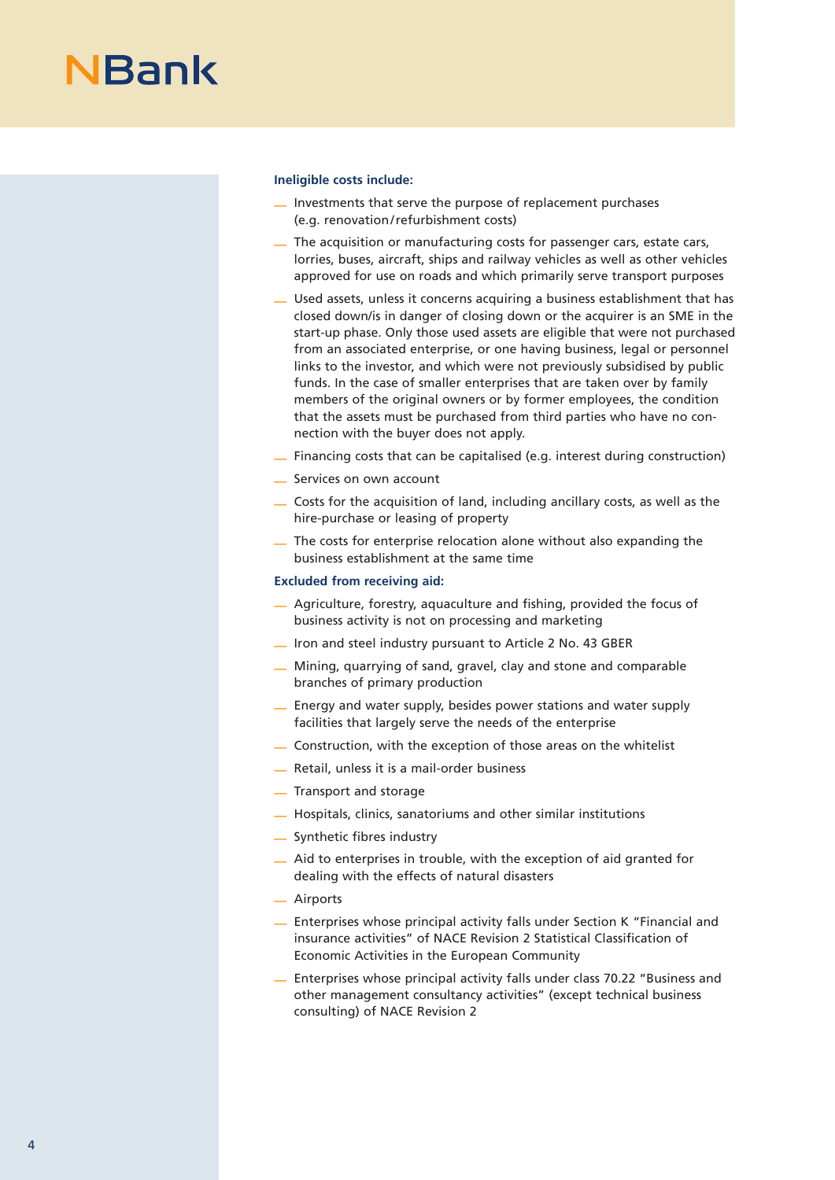#### **Ineligible costs include:**

- Investments that serve the purpose of replacement purchases (e.g. renovation/refurbishment costs)
- The acquisition or manufacturing costs for passenger cars, estate cars, lorries, buses, aircraft, ships and railway vehicles as well as other vehicles approved for use on roads and which primarily serve transport purposes
- Used assets, unless it concerns acquiring a business establishment that has closed down/is in danger of closing down or the acquirer is an SME in the start-up phase. Only those used assets are eligible that were not purchased from an associated enterprise, or one having business, legal or personnel links to the investor, and which were not previously subsidised by public funds. In the case of smaller enterprises that are taken over by family members of the original owners or by former employees, the condition that the assets must be purchased from third parties who have no connection with the buyer does not apply.
- Financing costs that can be capitalised (e.g. interest during construction)
- Services on own account
- Costs for the acquisition of land, including ancillary costs, as well as the hire-purchase or leasing of property
- The costs for enterprise relocation alone without also expanding the business establishment at the same time

### **Excluded from receiving aid:**

- Agriculture, forestry, aquaculture and fishing, provided the focus of business activity is not on processing and marketing
- Iron and steel industry pursuant to Article 2 No. 43 GBER
- Mining, quarrying of sand, gravel, clay and stone and comparable branches of primary production
- Energy and water supply, besides power stations and water supply facilities that largely serve the needs of the enterprise
- Construction, with the exception of those areas on the whitelist
- Retail, unless it is a mail-order business
- Transport and storage
- Hospitals, clinics, sanatoriums and other similar institutions
- Synthetic fibres industry
- Aid to enterprises in trouble, with the exception of aid granted for dealing with the effects of natural disasters
- Airports
- Enterprises whose principal activity falls under Section K "Financial and insurance activities" of NACE Revision 2 Statistical Classification of Economic Activities in the European Community
- Enterprises whose principal activity falls under class 70.22 "Business and other management consultancy activities" (except technical business consulting) of NACE Revision 2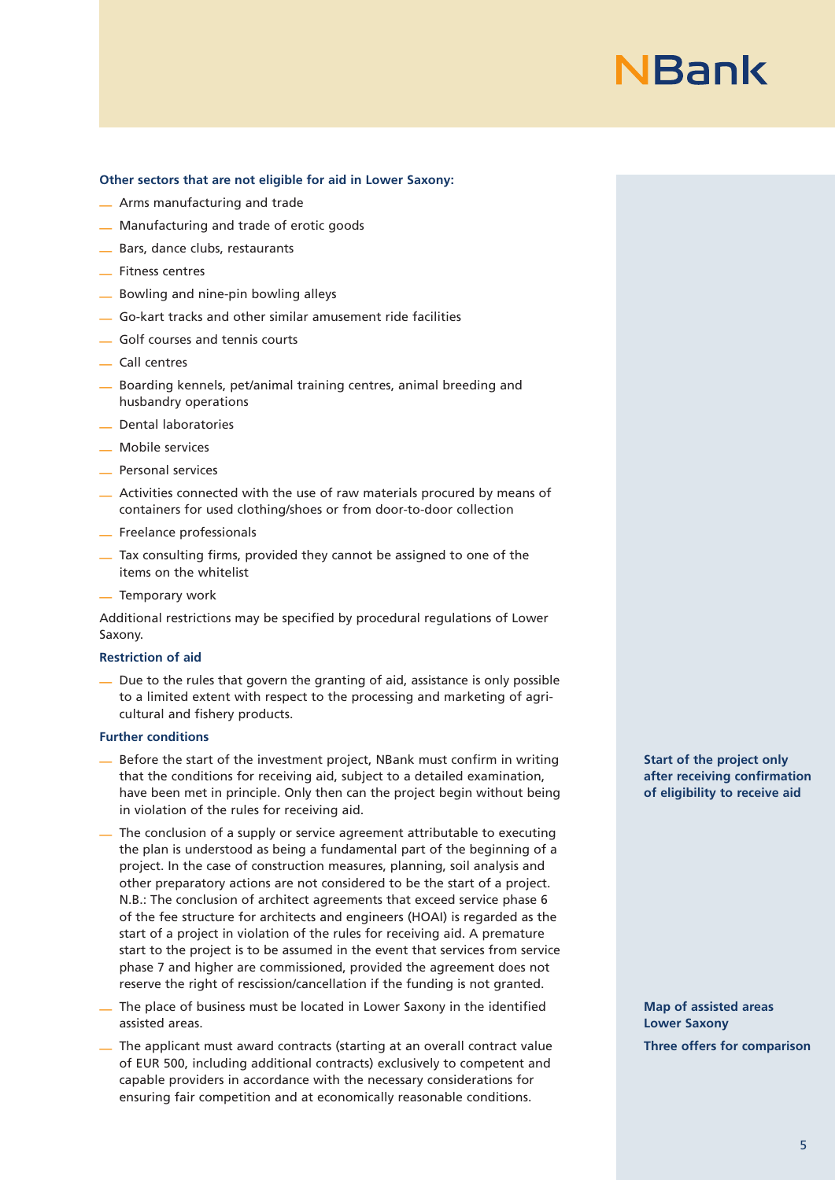

#### **Other sectors that are not eligible for aid in Lower Saxony:**

- Arms manufacturing and trade
- Manufacturing and trade of erotic goods
- Bars, dance clubs, restaurants
- Fitness centres
- Bowling and nine-pin bowling alleys
- Go-kart tracks and other similar amusement ride facilities
- Golf courses and tennis courts
- Call centres
- Boarding kennels, pet/animal training centres, animal breeding and husbandry operations
- Dental laboratories
- Mobile services
- Personal services
- Activities connected with the use of raw materials procured by means of containers for used clothing/shoes or from door-to-door collection
- Freelance professionals
- Tax consulting firms, provided they cannot be assigned to one of the items on the whitelist
- Temporary work

Additional restrictions may be specified by procedural regulations of Lower Saxony.

#### **Restriction of aid**

— Due to the rules that govern the granting of aid, assistance is only possible to a limited extent with respect to the processing and marketing of agricultural and fishery products.

# **Further conditions**

- Before the start of the investment project, NBank must confirm in writing that the conditions for receiving aid, subject to a detailed examination, have been met in principle. Only then can the project begin without being in violation of the rules for receiving aid.
- The conclusion of a supply or service agreement attributable to executing the plan is understood as being a fundamental part of the beginning of a project. In the case of construction measures, planning, soil analysis and other preparatory actions are not considered to be the start of a project. N.B.: The conclusion of architect agreements that exceed service phase 6 of the fee structure for architects and engineers (HOAI) is regarded as the start of a project in violation of the rules for receiving aid. A premature start to the project is to be assumed in the event that services from service phase 7 and higher are commissioned, provided the agreement does not reserve the right of rescission/cancellation if the funding is not granted.
- The place of business must be located in Lower Saxony in the identified assisted areas.
- The applicant must award contracts (starting at an overall contract value of EUR 500, including additional contracts) exclusively to competent and capable providers in accordance with the necessary considerations for ensuring fair competition and at economically reasonable conditions.

**Start of the project only after receiving confirmation of eligibility to receive aid**

**Map of assisted areas Lower Saxony Three offers for comparison**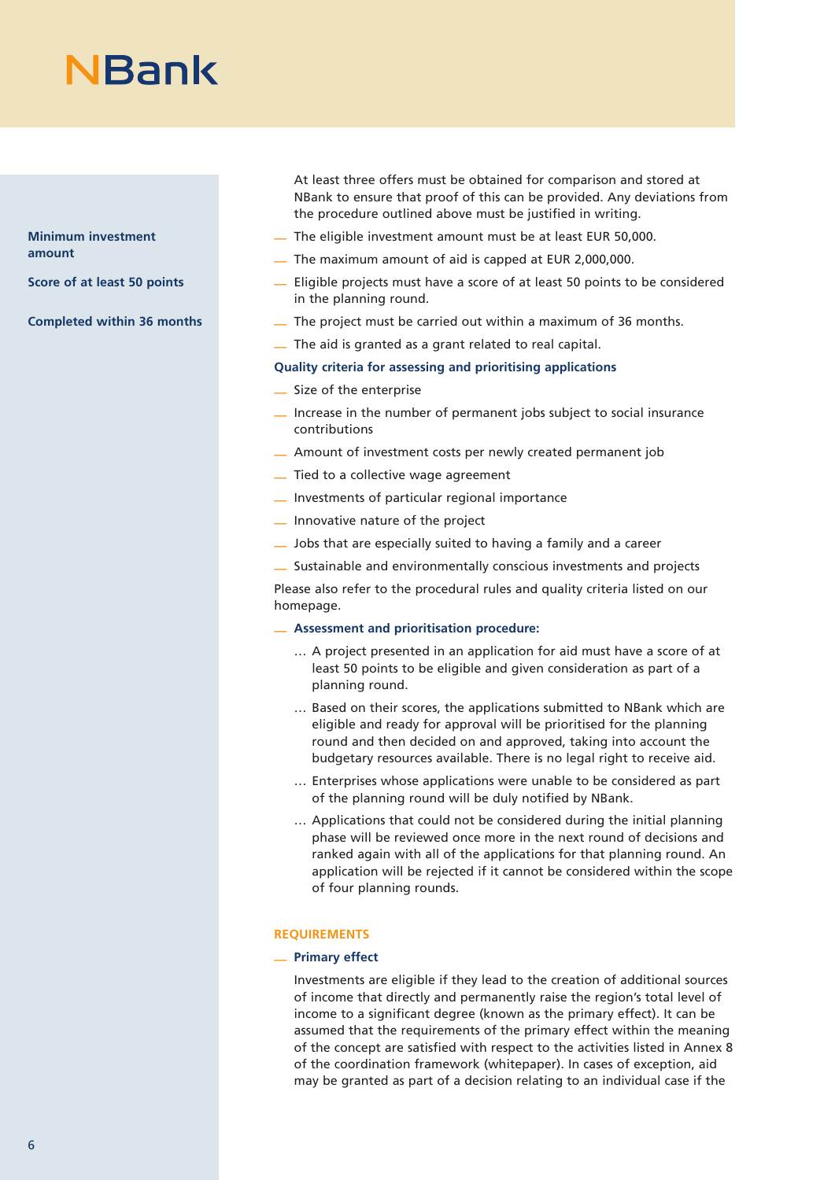**Minimum investment amount**

**Score of at least 50 points**

**Completed within 36 months**

At least three offers must be obtained for comparison and stored at NBank to ensure that proof of this can be provided. Any deviations from the procedure outlined above must be justified in writing.

- The eligible investment amount must be at least EUR 50,000.
- The maximum amount of aid is capped at EUR 2,000,000.
- Eligible projects must have a score of at least 50 points to be considered in the planning round.
- The project must be carried out within a maximum of 36 months.
- The aid is granted as a grant related to real capital.

### **Quality criteria for assessing and prioritising applications**

- Size of the enterprise
- Increase in the number of permanent jobs subject to social insurance contributions
- Amount of investment costs per newly created permanent job
- Tied to a collective wage agreement
- Investments of particular regional importance
- Innovative nature of the project
- Jobs that are especially suited to having a family and a career
- Sustainable and environmentally conscious investments and projects

Please also refer to the procedural rules and quality criteria listed on our homepage.

- **Assessment and prioritisation procedure:**
	- … A project presented in an application for aid must have a score of at least 50 points to be eligible and given consideration as part of a planning round.
	- … Based on their scores, the applications submitted to NBank which are eligible and ready for approval will be prioritised for the planning round and then decided on and approved, taking into account the budgetary resources available. There is no legal right to receive aid.
	- … Enterprises whose applications were unable to be considered as part of the planning round will be duly notified by NBank.
	- … Applications that could not be considered during the initial planning phase will be reviewed once more in the next round of decisions and ranked again with all of the applications for that planning round. An application will be rejected if it cannot be considered within the scope of four planning rounds.

# **REQUIREMENTS**

# — **Primary effect**

Investments are eligible if they lead to the creation of additional sources of income that directly and permanently raise the region's total level of income to a significant degree (known as the primary effect). It can be assumed that the requirements of the primary effect within the meaning of the concept are satisfied with respect to the activities listed in Annex 8 of the coordination framework (whitepaper). In cases of exception, aid may be granted as part of a decision relating to an individual case if the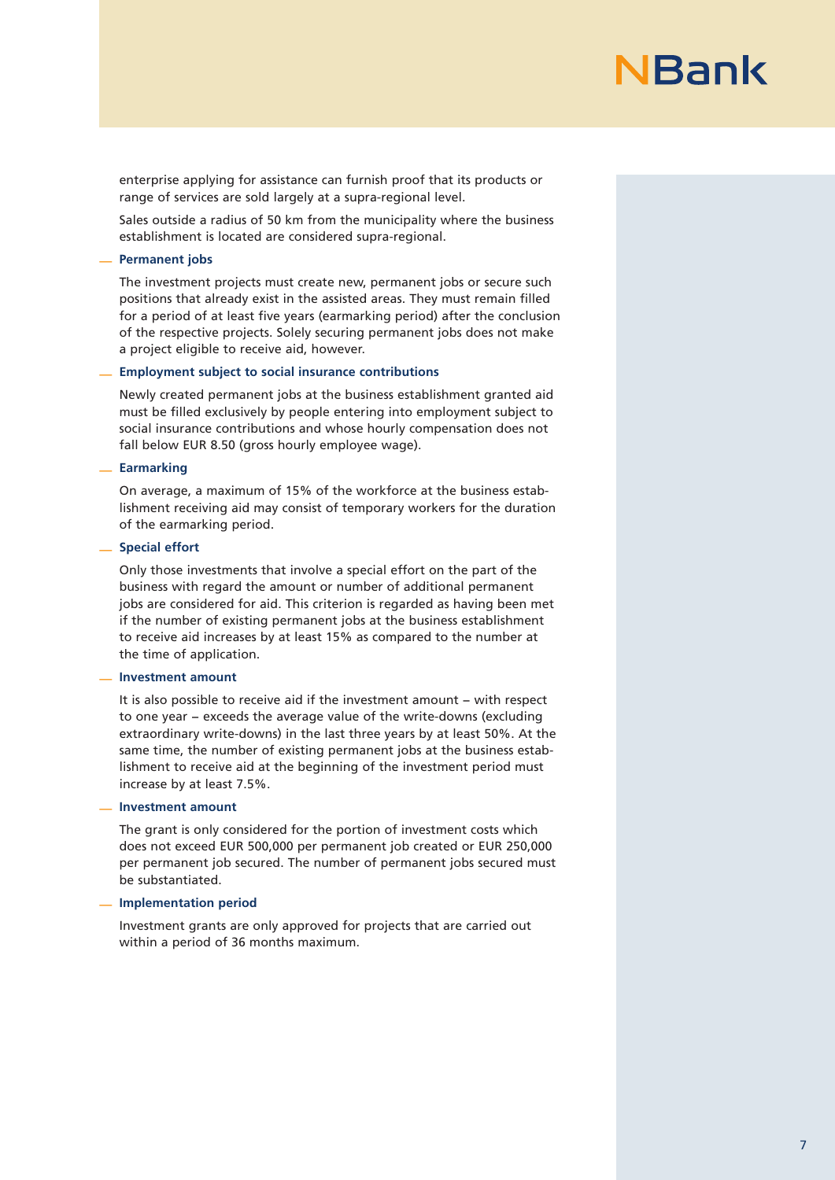enterprise applying for assistance can furnish proof that its products or range of services are sold largely at a supra-regional level.

Sales outside a radius of 50 km from the municipality where the business establishment is located are considered supra-regional.

### — **Permanent jobs**

The investment projects must create new, permanent jobs or secure such positions that already exist in the assisted areas. They must remain filled for a period of at least five years (earmarking period) after the conclusion of the respective projects. Solely securing permanent jobs does not make a project eligible to receive aid, however.

#### — **Employment subject to social insurance contributions**

Newly created permanent jobs at the business establishment granted aid must be filled exclusively by people entering into employment subject to social insurance contributions and whose hourly compensation does not fall below EUR 8.50 (gross hourly employee wage).

### — **Earmarking**

On average, a maximum of 15% of the workforce at the business establishment receiving aid may consist of temporary workers for the duration of the earmarking period.

# — **Special effort**

Only those investments that involve a special effort on the part of the business with regard the amount or number of additional permanent jobs are considered for aid. This criterion is regarded as having been met if the number of existing permanent jobs at the business establishment to receive aid increases by at least 15% as compared to the number at the time of application.

#### — **Investment amount**

It is also possible to receive aid if the investment amount − with respect to one year − exceeds the average value of the write-downs (excluding extraordinary write-downs) in the last three years by at least 50%. At the same time, the number of existing permanent jobs at the business establishment to receive aid at the beginning of the investment period must increase by at least 7.5%.

# — **Investment amount**

The grant is only considered for the portion of investment costs which does not exceed EUR 500,000 per permanent job created or EUR 250,000 per permanent job secured. The number of permanent jobs secured must be substantiated.

#### — **Implementation period**

Investment grants are only approved for projects that are carried out within a period of 36 months maximum.